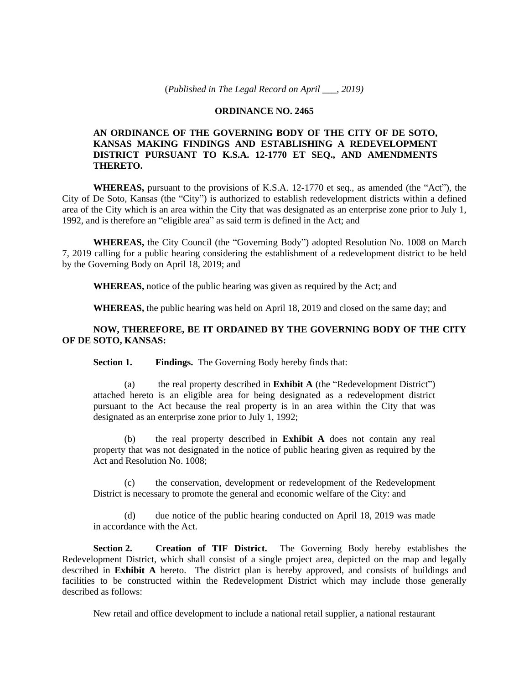#### **ORDINANCE NO. 2465**

# **AN ORDINANCE OF THE GOVERNING BODY OF THE CITY OF DE SOTO, KANSAS MAKING FINDINGS AND ESTABLISHING A REDEVELOPMENT DISTRICT PURSUANT TO K.S.A. 12-1770 ET SEQ., AND AMENDMENTS THERETO.**

**WHEREAS,** pursuant to the provisions of K.S.A. 12-1770 et seq., as amended (the "Act"), the City of De Soto, Kansas (the "City") is authorized to establish redevelopment districts within a defined area of the City which is an area within the City that was designated as an enterprise zone prior to July 1, 1992, and is therefore an "eligible area" as said term is defined in the Act; and

**WHEREAS,** the City Council (the "Governing Body") adopted Resolution No. 1008 on March 7, 2019 calling for a public hearing considering the establishment of a redevelopment district to be held by the Governing Body on April 18, 2019; and

**WHEREAS,** notice of the public hearing was given as required by the Act; and

**WHEREAS,** the public hearing was held on April 18, 2019 and closed on the same day; and

# **NOW, THEREFORE, BE IT ORDAINED BY THE GOVERNING BODY OF THE CITY OF DE SOTO, KANSAS:**

**Section 1. Findings.** The Governing Body hereby finds that:

(a) the real property described in **Exhibit A** (the "Redevelopment District") attached hereto is an eligible area for being designated as a redevelopment district pursuant to the Act because the real property is in an area within the City that was designated as an enterprise zone prior to July 1, 1992;

(b) the real property described in **Exhibit A** does not contain any real property that was not designated in the notice of public hearing given as required by the Act and Resolution No. 1008;

(c) the conservation, development or redevelopment of the Redevelopment District is necessary to promote the general and economic welfare of the City: and

(d) due notice of the public hearing conducted on April 18, 2019 was made in accordance with the Act.

**Section 2. Creation of TIF District.** The Governing Body hereby establishes the Redevelopment District, which shall consist of a single project area, depicted on the map and legally described in **Exhibit A** hereto. The district plan is hereby approved, and consists of buildings and facilities to be constructed within the Redevelopment District which may include those generally described as follows:

New retail and office development to include a national retail supplier, a national restaurant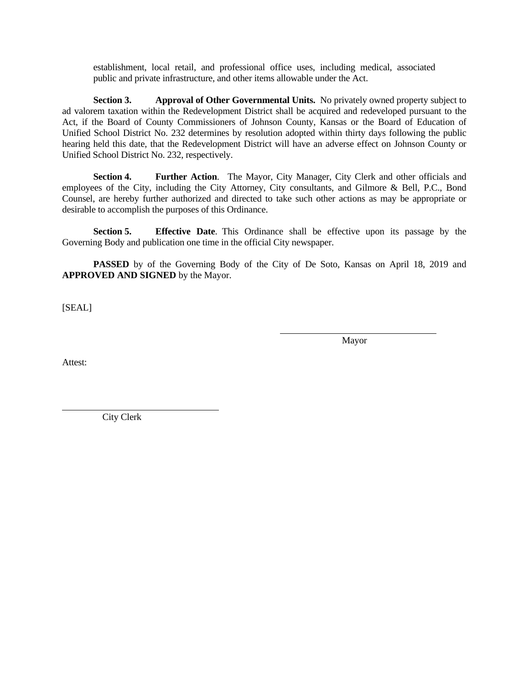establishment, local retail, and professional office uses, including medical, associated public and private infrastructure, and other items allowable under the Act.

**Section 3. Approval of Other Governmental Units.** No privately owned property subject to ad valorem taxation within the Redevelopment District shall be acquired and redeveloped pursuant to the Act, if the Board of County Commissioners of Johnson County, Kansas or the Board of Education of Unified School District No. 232 determines by resolution adopted within thirty days following the public hearing held this date, that the Redevelopment District will have an adverse effect on Johnson County or Unified School District No. 232, respectively.

**Section 4. Further Action**. The Mayor, City Manager, City Clerk and other officials and employees of the City, including the City Attorney, City consultants, and Gilmore & Bell, P.C., Bond Counsel, are hereby further authorized and directed to take such other actions as may be appropriate or desirable to accomplish the purposes of this Ordinance.

**Section 5. Effective Date**. This Ordinance shall be effective upon its passage by the Governing Body and publication one time in the official City newspaper.

**PASSED** by of the Governing Body of the City of De Soto, Kansas on April 18, 2019 and **APPROVED AND SIGNED** by the Mayor.

[SEAL]

Mayor

Attest:

City Clerk